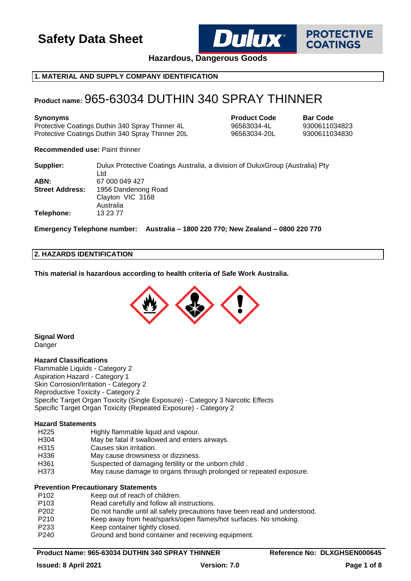

**PROTECTIVE COATINGS** 

**Hazardous, Dangerous Goods**

# **1. MATERIAL AND SUPPLY COMPANY IDENTIFICATION**

# **Product name:** 965-63034 DUTHIN 340 SPRAY THINNER

**Synonyms Product Code Bar Code** Protective Coatings Duthin 340 Spray Thinner 4L 96563034-4L 9300611034823 Protective Coatings Duthin 340 Spray Thinner 20L 96563034-20L 9300611034830

**Recommended use:** Paint thinner

| Supplier:              | Dulux Protective Coatings Australia, a division of Dulux Group (Australia) Pty |
|------------------------|--------------------------------------------------------------------------------|
|                        | Ltd                                                                            |
| ABN:                   | 67 000 049 427                                                                 |
| <b>Street Address:</b> | 1956 Dandenong Road                                                            |
|                        | Clayton VIC 3168                                                               |
|                        | Australia                                                                      |
| Telephone:             | 13 23 77                                                                       |

**Emergency Telephone number: Australia – 1800 220 770; New Zealand – 0800 220 770**

# **2. HAZARDS IDENTIFICATION**

**This material is hazardous according to health criteria of Safe Work Australia.**



**Signal Word** Danger

#### **Hazard Classifications**

Flammable Liquids - Category 2 Aspiration Hazard - Category 1 Skin Corrosion/Irritation - Category 2 Reproductive Toxicity - Category 2 Specific Target Organ Toxicity (Single Exposure) - Category 3 Narcotic Effects Specific Target Organ Toxicity (Repeated Exposure) - Category 2

#### **Hazard Statements**

| H225 | Highly flammable liquid and vapour.           |
|------|-----------------------------------------------|
| H304 | May be fatal if swallowed and enters airways. |
| H315 | Causes skin irritation.                       |

- H336 May cause drowsiness or dizziness.
- H361 Suspected of damaging fertility or the unborn child .
- H373 May cause damage to organs through prolonged or repeated exposure.

# **Prevention Precautionary Statements**

- P102 Keep out of reach of children.
- P103 Read carefully and follow all instructions.
- P202 Do not handle until all safety precautions have been read and understood.
- P210 Keep away from heat/sparks/open flames/hot surfaces. No smoking.
- P233 Keep container tightly closed.
- P240 Ground and bond container and receiving equipment.

# Product Name: 965-63034 DUTHIN 340 SPRAY THINNER Reference No: DLXGHSEN000645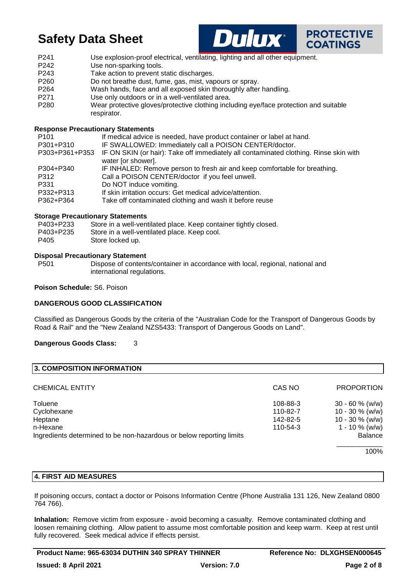



P241 Use explosion-proof electrical, ventilating, lighting and all other equipment. P242 Use non-sparking tools. P243 Take action to prevent static discharges. P260 Do not breathe dust, fume, gas, mist, vapours or spray. P264 Wash hands, face and all exposed skin thoroughly after handling. P271 Use only outdoors or in a well-ventilated area. P280 Wear protective gloves/protective clothing including eye/face protection and suitable respirator.

# **Response Precautionary Statements**

| P <sub>101</sub> | If medical advice is needed, have product container or label at hand.                 |
|------------------|---------------------------------------------------------------------------------------|
| P301+P310        | IF SWALLOWED: Immediately call a POISON CENTER/doctor.                                |
| P303+P361+P353   | IF ON SKIN (or hair): Take off immediately all contaminated clothing. Rinse skin with |
|                  | water [or shower].                                                                    |
| P304+P340        | IF INHALED: Remove person to fresh air and keep comfortable for breathing.            |
| P312             | Call a POISON CENTER/doctor if you feel unwell.                                       |
| P331             | Do NOT induce vomiting.                                                               |
| P332+P313        | If skin irritation occurs: Get medical advice/attention.                              |
| P362+P364        | Take off contaminated clothing and wash it before reuse                               |
|                  |                                                                                       |

#### **Storage Precautionary Statements**

| P403+P233 | Store in a well-ventilated place. Keep container tightly closed. |
|-----------|------------------------------------------------------------------|
| P403+P235 | Store in a well-ventilated place. Keep cool.                     |
| P405      | Store locked up.                                                 |

#### **Disposal Precautionary Statement**

P501 Dispose of contents/container in accordance with local, regional, national and international regulations.

#### **Poison Schedule:** S6. Poison

# **DANGEROUS GOOD CLASSIFICATION**

Classified as Dangerous Goods by the criteria of the "Australian Code for the Transport of Dangerous Goods by Road & Rail" and the "New Zealand NZS5433: Transport of Dangerous Goods on Land".

#### **Dangerous Goods Class:** 3

| 3. COMPOSITION INFORMATION                                           |          |                    |
|----------------------------------------------------------------------|----------|--------------------|
| <b>CHEMICAL ENTITY</b>                                               | CAS NO   | <b>PROPORTION</b>  |
| Toluene                                                              | 108-88-3 | $30 - 60 \%$ (w/w) |
| Cyclohexane                                                          | 110-82-7 | $10 - 30 \%$ (w/w) |
| Heptane                                                              | 142-82-5 | $10 - 30 \%$ (w/w) |
| n-Hexane                                                             | 110-54-3 | $1 - 10 \%$ (w/w)  |
| Ingredients determined to be non-hazardous or below reporting limits |          | <b>Balance</b>     |
|                                                                      |          | 100%               |

#### **4. FIRST AID MEASURES**

If poisoning occurs, contact a doctor or Poisons Information Centre (Phone Australia 131 126, New Zealand 0800 764 766).

**Inhalation:** Remove victim from exposure - avoid becoming a casualty. Remove contaminated clothing and loosen remaining clothing. Allow patient to assume most comfortable position and keep warm. Keep at rest until fully recovered. Seek medical advice if effects persist.

Product Name: 965-63034 DUTHIN 340 SPRAY THINNER Reference No: DLXGHSEN000645 **Issued: 8 April 2021 Version: 7.0 Page 2 of 8**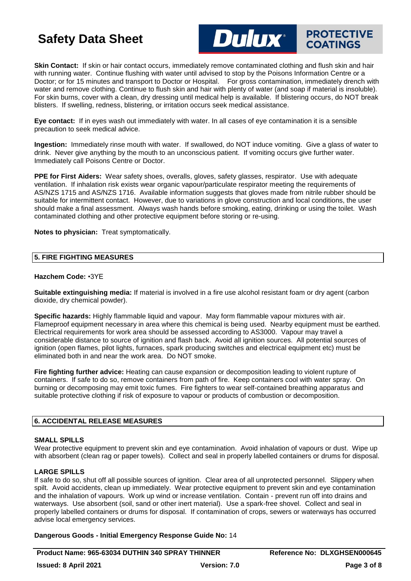

# **PROTECTIVE COATINGS**

**Skin Contact:** If skin or hair contact occurs, immediately remove contaminated clothing and flush skin and hair with running water. Continue flushing with water until advised to stop by the Poisons Information Centre or a Doctor; or for 15 minutes and transport to Doctor or Hospital. For gross contamination, immediately drench with water and remove clothing. Continue to flush skin and hair with plenty of water (and soap if material is insoluble). For skin burns, cover with a clean, dry dressing until medical help is available. If blistering occurs, do NOT break blisters. If swelling, redness, blistering, or irritation occurs seek medical assistance.

**Eye contact:** If in eyes wash out immediately with water. In all cases of eye contamination it is a sensible precaution to seek medical advice.

**Ingestion:** Immediately rinse mouth with water. If swallowed, do NOT induce vomiting. Give a glass of water to drink. Never give anything by the mouth to an unconscious patient. If vomiting occurs give further water. Immediately call Poisons Centre or Doctor.

**PPE for First Aiders:** Wear safety shoes, overalls, gloves, safety glasses, respirator. Use with adequate ventilation. If inhalation risk exists wear organic vapour/particulate respirator meeting the requirements of AS/NZS 1715 and AS/NZS 1716. Available information suggests that gloves made from nitrile rubber should be suitable for intermittent contact. However, due to variations in glove construction and local conditions, the user should make a final assessment. Always wash hands before smoking, eating, drinking or using the toilet. Wash contaminated clothing and other protective equipment before storing or re-using.

**Notes to physician:** Treat symptomatically.

# **5. FIRE FIGHTING MEASURES**

#### **Hazchem Code:** •3YE

**Suitable extinguishing media:** If material is involved in a fire use alcohol resistant foam or dry agent (carbon dioxide, dry chemical powder).

**Specific hazards:** Highly flammable liquid and vapour. May form flammable vapour mixtures with air. Flameproof equipment necessary in area where this chemical is being used. Nearby equipment must be earthed. Electrical requirements for work area should be assessed according to AS3000. Vapour may travel a considerable distance to source of ignition and flash back. Avoid all ignition sources. All potential sources of ignition (open flames, pilot lights, furnaces, spark producing switches and electrical equipment etc) must be eliminated both in and near the work area. Do NOT smoke.

**Fire fighting further advice:** Heating can cause expansion or decomposition leading to violent rupture of containers. If safe to do so, remove containers from path of fire. Keep containers cool with water spray. On burning or decomposing may emit toxic fumes. Fire fighters to wear self-contained breathing apparatus and suitable protective clothing if risk of exposure to vapour or products of combustion or decomposition.

# **6. ACCIDENTAL RELEASE MEASURES**

# **SMALL SPILLS**

Wear protective equipment to prevent skin and eye contamination. Avoid inhalation of vapours or dust. Wipe up with absorbent (clean rag or paper towels). Collect and seal in properly labelled containers or drums for disposal.

# **LARGE SPILLS**

If safe to do so, shut off all possible sources of ignition. Clear area of all unprotected personnel. Slippery when spilt. Avoid accidents, clean up immediately. Wear protective equipment to prevent skin and eye contamination and the inhalation of vapours. Work up wind or increase ventilation. Contain - prevent run off into drains and waterways. Use absorbent (soil, sand or other inert material). Use a spark-free shovel. Collect and seal in properly labelled containers or drums for disposal. If contamination of crops, sewers or waterways has occurred advise local emergency services.

**Dangerous Goods - Initial Emergency Response Guide No:** 14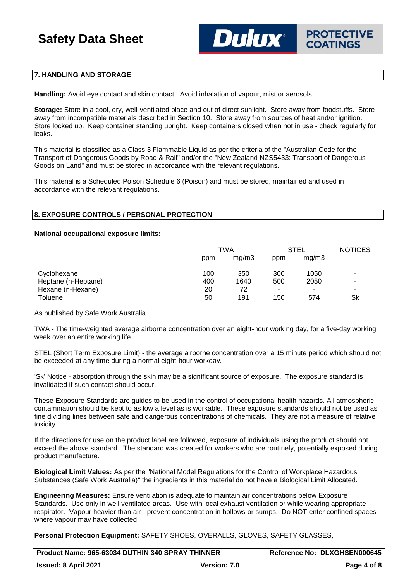# **7. HANDLING AND STORAGE**

**Handling:** Avoid eye contact and skin contact. Avoid inhalation of vapour, mist or aerosols.

**Storage:** Store in a cool, dry, well-ventilated place and out of direct sunlight. Store away from foodstuffs. Store away from incompatible materials described in Section 10. Store away from sources of heat and/or ignition. Store locked up. Keep container standing upright. Keep containers closed when not in use - check regularly for leaks.

This material is classified as a Class 3 Flammable Liquid as per the criteria of the "Australian Code for the Transport of Dangerous Goods by Road & Rail" and/or the "New Zealand NZS5433: Transport of Dangerous Goods on Land" and must be stored in accordance with the relevant regulations.

This material is a Scheduled Poison Schedule 6 (Poison) and must be stored, maintained and used in accordance with the relevant regulations.

# **8. EXPOSURE CONTROLS / PERSONAL PROTECTION**

#### **National occupational exposure limits:**

|                            | TWA   |     | <b>STEL</b> | <b>NOTICES</b> |
|----------------------------|-------|-----|-------------|----------------|
| ppm                        | mq/m3 | ppm | mq/m3       |                |
| 100<br>Cyclohexane         | 350   | 300 | 1050        | ۰              |
| Heptane (n-Heptane)<br>400 | 1640  | 500 | 2050        | -              |
| Hexane (n-Hexane)<br>20    | 72    |     |             |                |
| Toluene<br>50              | 191   | 150 | 574         | Sk             |

As published by Safe Work Australia.

TWA - The time-weighted average airborne concentration over an eight-hour working day, for a five-day working week over an entire working life.

STEL (Short Term Exposure Limit) - the average airborne concentration over a 15 minute period which should not be exceeded at any time during a normal eight-hour workday.

'Sk' Notice - absorption through the skin may be a significant source of exposure. The exposure standard is invalidated if such contact should occur.

These Exposure Standards are guides to be used in the control of occupational health hazards. All atmospheric contamination should be kept to as low a level as is workable. These exposure standards should not be used as fine dividing lines between safe and dangerous concentrations of chemicals. They are not a measure of relative toxicity.

If the directions for use on the product label are followed, exposure of individuals using the product should not exceed the above standard. The standard was created for workers who are routinely, potentially exposed during product manufacture.

**Biological Limit Values:** As per the "National Model Regulations for the Control of Workplace Hazardous Substances (Safe Work Australia)" the ingredients in this material do not have a Biological Limit Allocated.

**Engineering Measures:** Ensure ventilation is adequate to maintain air concentrations below Exposure Standards. Use only in well ventilated areas. Use with local exhaust ventilation or while wearing appropriate respirator. Vapour heavier than air - prevent concentration in hollows or sumps. Do NOT enter confined spaces where vapour may have collected.

**Personal Protection Equipment:** SAFETY SHOES, OVERALLS, GLOVES, SAFETY GLASSES,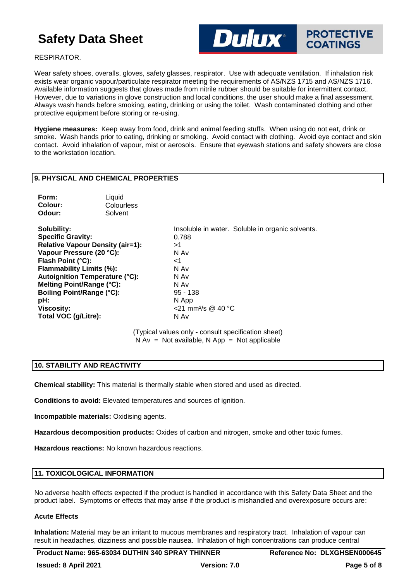

RESPIRATOR.

Wear safety shoes, overalls, gloves, safety glasses, respirator. Use with adequate ventilation. If inhalation risk exists wear organic vapour/particulate respirator meeting the requirements of AS/NZS 1715 and AS/NZS 1716. Available information suggests that gloves made from nitrile rubber should be suitable for intermittent contact. However, due to variations in glove construction and local conditions, the user should make a final assessment. Always wash hands before smoking, eating, drinking or using the toilet. Wash contaminated clothing and other protective equipment before storing or re-using.

**Hygiene measures:** Keep away from food, drink and animal feeding stuffs. When using do not eat, drink or smoke. Wash hands prior to eating, drinking or smoking. Avoid contact with clothing. Avoid eye contact and skin contact. Avoid inhalation of vapour, mist or aerosols. Ensure that eyewash stations and safety showers are close to the workstation location.

# **9. PHYSICAL AND CHEMICAL PROPERTIES**

| Form:   | Liquid     |
|---------|------------|
| Colour: | Colourless |
| Odour:  | Solvent    |

**Specific Gravity:** 0.788 **Relative Vapour Density (air=1):** >1 **Vapour Pressure (20 °C):** N Av Flash Point (°C): <1 **Flammability Limits (%):** N Av **Autoignition Temperature (°C):** N Av **Melting Point/Range (°C):** N Av **Boiling Point/Range (°C):** 95 - 138 **pH:** N App **Viscosity:** <21 mm²/s @ 40 °C Total VOC (g/Litre): N Av

**Solubility:** Insoluble in water. Soluble in organic solvents.

(Typical values only - consult specification sheet)  $N Av = Not available, N App = Not applicable$ 

#### **10. STABILITY AND REACTIVITY**

**Chemical stability:** This material is thermally stable when stored and used as directed.

**Conditions to avoid:** Elevated temperatures and sources of ignition.

**Incompatible materials:** Oxidising agents.

**Hazardous decomposition products:** Oxides of carbon and nitrogen, smoke and other toxic fumes.

**Hazardous reactions:** No known hazardous reactions.

# **11. TOXICOLOGICAL INFORMATION**

No adverse health effects expected if the product is handled in accordance with this Safety Data Sheet and the product label. Symptoms or effects that may arise if the product is mishandled and overexposure occurs are:

# **Acute Effects**

**Inhalation:** Material may be an irritant to mucous membranes and respiratory tract. Inhalation of vapour can result in headaches, dizziness and possible nausea. Inhalation of high concentrations can produce central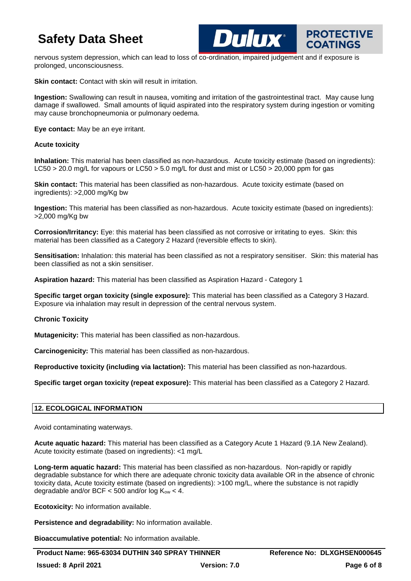

**PROTECTIVE** 

nervous system depression, which can lead to loss of co-ordination, impaired judgement and if exposure is prolonged, unconsciousness.

**Skin contact:** Contact with skin will result in irritation.

**Ingestion:** Swallowing can result in nausea, vomiting and irritation of the gastrointestinal tract. May cause lung damage if swallowed. Small amounts of liquid aspirated into the respiratory system during ingestion or vomiting may cause bronchopneumonia or pulmonary oedema.

**Eye contact:** May be an eye irritant.

# **Acute toxicity**

**Inhalation:** This material has been classified as non-hazardous. Acute toxicity estimate (based on ingredients): LC50 > 20.0 mg/L for vapours or LC50 > 5.0 mg/L for dust and mist or LC50 > 20,000 ppm for gas

**Skin contact:** This material has been classified as non-hazardous. Acute toxicity estimate (based on ingredients): >2,000 mg/Kg bw

**Ingestion:** This material has been classified as non-hazardous. Acute toxicity estimate (based on ingredients): >2,000 mg/Kg bw

**Corrosion/Irritancy:** Eye: this material has been classified as not corrosive or irritating to eyes. Skin: this material has been classified as a Category 2 Hazard (reversible effects to skin).

**Sensitisation:** Inhalation: this material has been classified as not a respiratory sensitiser. Skin: this material has been classified as not a skin sensitiser.

**Aspiration hazard:** This material has been classified as Aspiration Hazard - Category 1

**Specific target organ toxicity (single exposure):** This material has been classified as a Category 3 Hazard. Exposure via inhalation may result in depression of the central nervous system.

# **Chronic Toxicity**

**Mutagenicity:** This material has been classified as non-hazardous.

**Carcinogenicity:** This material has been classified as non-hazardous.

**Reproductive toxicity (including via lactation):** This material has been classified as non-hazardous.

**Specific target organ toxicity (repeat exposure):** This material has been classified as a Category 2 Hazard.

# **12. ECOLOGICAL INFORMATION**

Avoid contaminating waterways.

**Acute aquatic hazard:** This material has been classified as a Category Acute 1 Hazard (9.1A New Zealand). Acute toxicity estimate (based on ingredients): <1 mg/L

**Long-term aquatic hazard:** This material has been classified as non-hazardous. Non-rapidly or rapidly degradable substance for which there are adequate chronic toxicity data available OR in the absence of chronic toxicity data, Acute toxicity estimate (based on ingredients): >100 mg/L, where the substance is not rapidly degradable and/or BCF  $<$  500 and/or log  $K_{ow}$   $<$  4.

**Ecotoxicity:** No information available.

**Persistence and degradability:** No information available.

**Bioaccumulative potential:** No information available.

Product Name: 965-63034 DUTHIN 340 SPRAY THINNER Reference No: DLXGHSEN000645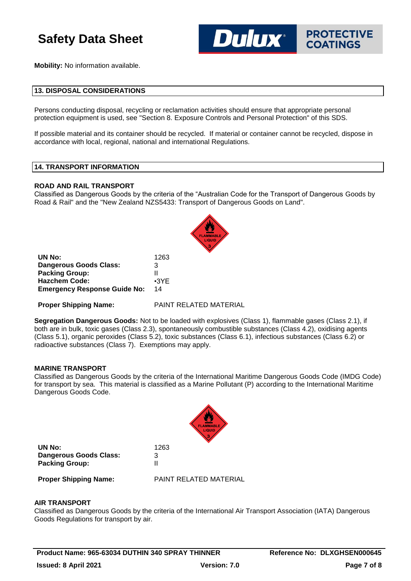

**Mobility:** No information available.

#### **13. DISPOSAL CONSIDERATIONS**

Persons conducting disposal, recycling or reclamation activities should ensure that appropriate personal protection equipment is used, see "Section 8. Exposure Controls and Personal Protection" of this SDS.

If possible material and its container should be recycled. If material or container cannot be recycled, dispose in accordance with local, regional, national and international Regulations.

#### **14. TRANSPORT INFORMATION**

#### **ROAD AND RAIL TRANSPORT**

Classified as Dangerous Goods by the criteria of the "Australian Code for the Transport of Dangerous Goods by Road & Rail" and the "New Zealand NZS5433: Transport of Dangerous Goods on Land".

| UN No:                              | 1263        |
|-------------------------------------|-------------|
| <b>Dangerous Goods Class:</b>       | 3           |
| <b>Packing Group:</b>               | Ш           |
| <b>Hazchem Code:</b>                | $\cdot$ 3YE |
| <b>Emergency Response Guide No:</b> | 14          |

**Proper Shipping Name:** PAINT RELATED MATERIAL

**Segregation Dangerous Goods:** Not to be loaded with explosives (Class 1), flammable gases (Class 2.1), if both are in bulk, toxic gases (Class 2.3), spontaneously combustible substances (Class 4.2), oxidising agents (Class 5.1), organic peroxides (Class 5.2), toxic substances (Class 6.1), infectious substances (Class 6.2) or radioactive substances (Class 7). Exemptions may apply.

# **MARINE TRANSPORT**

Classified as Dangerous Goods by the criteria of the International Maritime Dangerous Goods Code (IMDG Code) for transport by sea. This material is classified as a Marine Pollutant (P) according to the International Maritime Dangerous Goods Code.

|                                                                  | <b>FLAMMABLE</b><br>LIQUID |
|------------------------------------------------------------------|----------------------------|
| UN No:<br><b>Dangerous Goods Class:</b><br><b>Packing Group:</b> | 1263<br>3<br>Ш             |
| <b>Proper Shipping Name:</b>                                     | PAINT RELATED MATERIAL     |

#### **AIR TRANSPORT**

Classified as Dangerous Goods by the criteria of the International Air Transport Association (IATA) Dangerous Goods Regulations for transport by air.